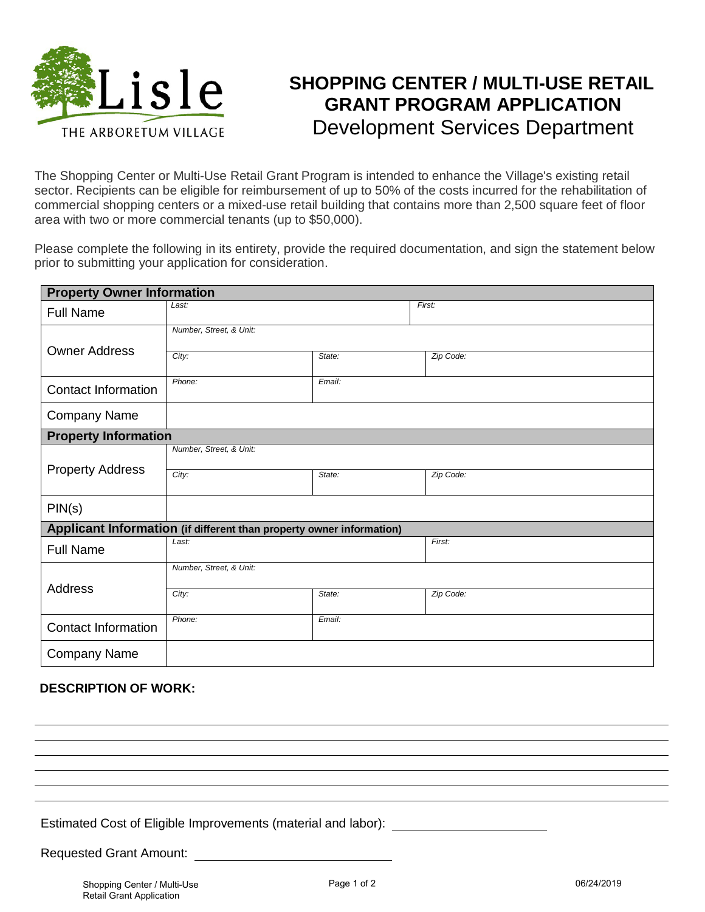

## **SHOPPING CENTER / MULTI-USE RETAIL GRANT PROGRAM APPLICATION** Development Services Department

The Shopping Center or Multi-Use Retail Grant Program is intended to enhance the Village's existing retail sector. Recipients can be eligible for reimbursement of up to 50% of the costs incurred for the rehabilitation of commercial shopping centers or a mixed-use retail building that contains more than 2,500 square feet of floor area with two or more commercial tenants (up to \$50,000).

Please complete the following in its entirety, provide the required documentation, and sign the statement below prior to submitting your application for consideration.

| <b>Property Owner Information</b>                                    |                         |        |           |
|----------------------------------------------------------------------|-------------------------|--------|-----------|
| <b>Full Name</b>                                                     | Last:                   |        | First:    |
| <b>Owner Address</b>                                                 | Number, Street, & Unit: |        |           |
|                                                                      | City:                   | State: | Zip Code: |
| <b>Contact Information</b>                                           | Phone:                  | Email: |           |
| <b>Company Name</b>                                                  |                         |        |           |
| <b>Property Information</b>                                          |                         |        |           |
| <b>Property Address</b>                                              | Number, Street, & Unit: |        |           |
|                                                                      | City:                   | State: | Zip Code: |
| PIN(s)                                                               |                         |        |           |
| Applicant Information (if different than property owner information) |                         |        |           |
| <b>Full Name</b>                                                     | Last:                   |        | First:    |
|                                                                      | Number, Street, & Unit: |        |           |
| Address                                                              | City:                   | State: | Zip Code: |
| <b>Contact Information</b>                                           | Phone:<br>Email:        |        |           |
| <b>Company Name</b>                                                  |                         |        |           |

## **DESCRIPTION OF WORK:**

Estimated Cost of Eligible Improvements (material and labor):

Requested Grant Amount: